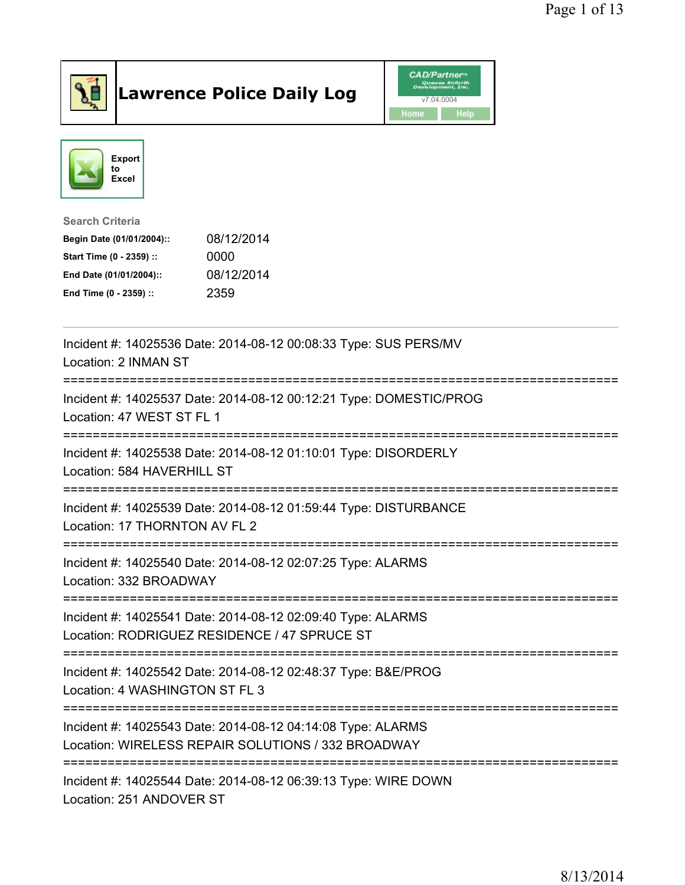

## Lawrence Police Daily Log Value of the CAD/Partner





## Search Criteria

| Begin Date (01/01/2004):: | 08/12/2014 |
|---------------------------|------------|
| Start Time (0 - 2359) ::  | 0000       |
| End Date (01/01/2004)::   | 08/12/2014 |
| End Time (0 - 2359) ::    | 2359       |

| Incident #: 14025536 Date: 2014-08-12 00:08:33 Type: SUS PERS/MV<br>Location: 2 INMAN ST<br>===================                         |
|-----------------------------------------------------------------------------------------------------------------------------------------|
| Incident #: 14025537 Date: 2014-08-12 00:12:21 Type: DOMESTIC/PROG<br>Location: 47 WEST ST FL 1<br>==================================== |
| Incident #: 14025538 Date: 2014-08-12 01:10:01 Type: DISORDERLY<br>Location: 584 HAVERHILL ST                                           |
| Incident #: 14025539 Date: 2014-08-12 01:59:44 Type: DISTURBANCE<br>Location: 17 THORNTON AV FL 2                                       |
| Incident #: 14025540 Date: 2014-08-12 02:07:25 Type: ALARMS<br>Location: 332 BROADWAY                                                   |
| Incident #: 14025541 Date: 2014-08-12 02:09:40 Type: ALARMS<br>Location: RODRIGUEZ RESIDENCE / 47 SPRUCE ST                             |
| Incident #: 14025542 Date: 2014-08-12 02:48:37 Type: B&E/PROG<br>Location: 4 WASHINGTON ST FL 3<br>----------------------               |
| Incident #: 14025543 Date: 2014-08-12 04:14:08 Type: ALARMS<br>Location: WIRELESS REPAIR SOLUTIONS / 332 BROADWAY                       |
| Incident #: 14025544 Date: 2014-08-12 06:39:13 Type: WIRE DOWN<br>Location: 251 ANDOVER ST                                              |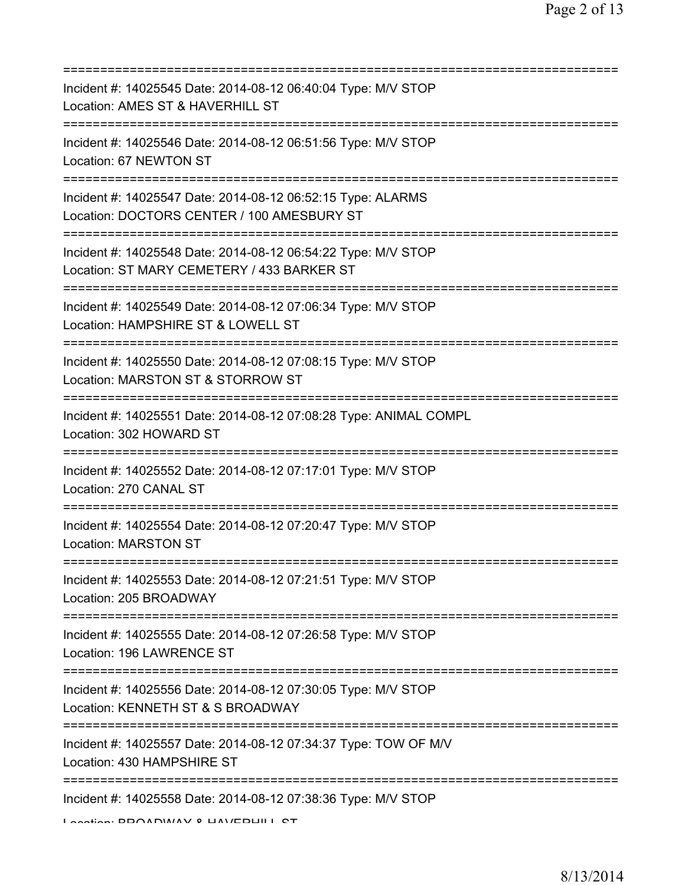| Incident #: 14025545 Date: 2014-08-12 06:40:04 Type: M/V STOP<br>Location: AMES ST & HAVERHILL ST           |
|-------------------------------------------------------------------------------------------------------------|
| Incident #: 14025546 Date: 2014-08-12 06:51:56 Type: M/V STOP<br>Location: 67 NEWTON ST                     |
| Incident #: 14025547 Date: 2014-08-12 06:52:15 Type: ALARMS<br>Location: DOCTORS CENTER / 100 AMESBURY ST   |
| Incident #: 14025548 Date: 2014-08-12 06:54:22 Type: M/V STOP<br>Location: ST MARY CEMETERY / 433 BARKER ST |
| Incident #: 14025549 Date: 2014-08-12 07:06:34 Type: M/V STOP<br>Location: HAMPSHIRE ST & LOWELL ST         |
| Incident #: 14025550 Date: 2014-08-12 07:08:15 Type: M/V STOP<br>Location: MARSTON ST & STORROW ST          |
| Incident #: 14025551 Date: 2014-08-12 07:08:28 Type: ANIMAL COMPL<br>Location: 302 HOWARD ST                |
| Incident #: 14025552 Date: 2014-08-12 07:17:01 Type: M/V STOP<br>Location: 270 CANAL ST                     |
| Incident #: 14025554 Date: 2014-08-12 07:20:47 Type: M/V STOP<br><b>Location: MARSTON ST</b>                |
| Incident #: 14025553 Date: 2014-08-12 07:21:51 Type: M/V STOP<br>Location: 205 BROADWAY                     |
| Incident #: 14025555 Date: 2014-08-12 07:26:58 Type: M/V STOP<br>Location: 196 LAWRENCE ST                  |
| Incident #: 14025556 Date: 2014-08-12 07:30:05 Type: M/V STOP<br>Location: KENNETH ST & S BROADWAY          |
| Incident #: 14025557 Date: 2014-08-12 07:34:37 Type: TOW OF M/V<br>Location: 430 HAMPSHIRE ST               |
| Incident #: 14025558 Date: 2014-08-12 07:38:36 Type: M/V STOP<br>Location: DDOADWIAV 0 LIAVEDLIII I CT      |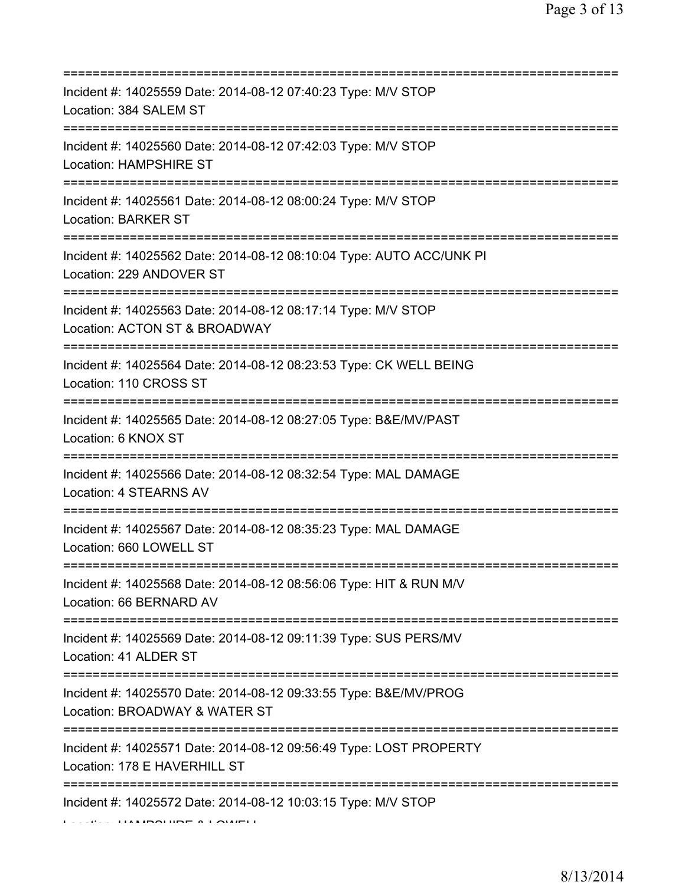| Incident #: 14025559 Date: 2014-08-12 07:40:23 Type: M/V STOP<br>Location: 384 SALEM ST                                                 |
|-----------------------------------------------------------------------------------------------------------------------------------------|
| Incident #: 14025560 Date: 2014-08-12 07:42:03 Type: M/V STOP<br><b>Location: HAMPSHIRE ST</b>                                          |
| Incident #: 14025561 Date: 2014-08-12 08:00:24 Type: M/V STOP<br><b>Location: BARKER ST</b>                                             |
| Incident #: 14025562 Date: 2014-08-12 08:10:04 Type: AUTO ACC/UNK PI<br>Location: 229 ANDOVER ST                                        |
| Incident #: 14025563 Date: 2014-08-12 08:17:14 Type: M/V STOP<br>Location: ACTON ST & BROADWAY<br>===================================== |
| Incident #: 14025564 Date: 2014-08-12 08:23:53 Type: CK WELL BEING<br>Location: 110 CROSS ST<br>===================================     |
| Incident #: 14025565 Date: 2014-08-12 08:27:05 Type: B&E/MV/PAST<br>Location: 6 KNOX ST                                                 |
| Incident #: 14025566 Date: 2014-08-12 08:32:54 Type: MAL DAMAGE<br>Location: 4 STEARNS AV                                               |
| Incident #: 14025567 Date: 2014-08-12 08:35:23 Type: MAL DAMAGE<br>Location: 660 LOWELL ST                                              |
| Incident #: 14025568 Date: 2014-08-12 08:56:06 Type: HIT & RUN M/V<br>Location: 66 BERNARD AV                                           |
| Incident #: 14025569 Date: 2014-08-12 09:11:39 Type: SUS PERS/MV<br>Location: 41 ALDER ST                                               |
| Incident #: 14025570 Date: 2014-08-12 09:33:55 Type: B&E/MV/PROG<br>Location: BROADWAY & WATER ST                                       |
| Incident #: 14025571 Date: 2014-08-12 09:56:49 Type: LOST PROPERTY<br>Location: 178 E HAVERHILL ST                                      |
| Incident #: 14025572 Date: 2014-08-12 10:03:15 Type: M/V STOP                                                                           |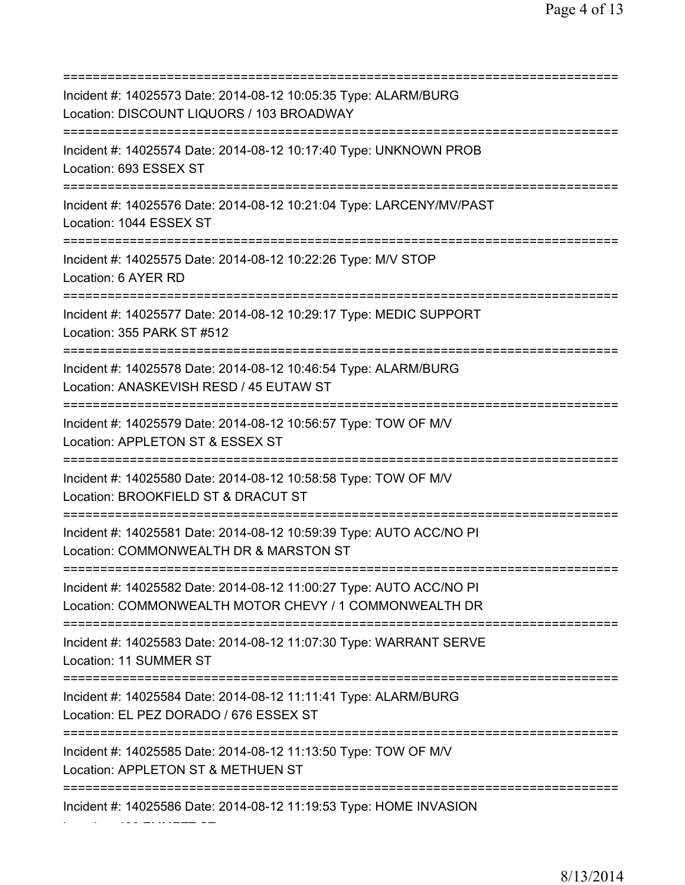=========================================================================== Incident #: 14025573 Date: 2014-08-12 10:05:35 Type: ALARM/BURG Location: DISCOUNT LIQUORS / 103 BROADWAY =========================================================================== Incident #: 14025574 Date: 2014-08-12 10:17:40 Type: UNKNOWN PROB Location: 693 ESSEX ST =========================================================================== Incident #: 14025576 Date: 2014-08-12 10:21:04 Type: LARCENY/MV/PAST Location: 1044 ESSEX ST =========================================================================== Incident #: 14025575 Date: 2014-08-12 10:22:26 Type: M/V STOP Location: 6 AYER RD =========================================================================== Incident #: 14025577 Date: 2014-08-12 10:29:17 Type: MEDIC SUPPORT Location: 355 PARK ST #512 =========================================================================== Incident #: 14025578 Date: 2014-08-12 10:46:54 Type: ALARM/BURG Location: ANASKEVISH RESD / 45 EUTAW ST =========================================================================== Incident #: 14025579 Date: 2014-08-12 10:56:57 Type: TOW OF M/V Location: APPLETON ST & ESSEX ST =========================================================================== Incident #: 14025580 Date: 2014-08-12 10:58:58 Type: TOW OF M/V Location: BROOKFIELD ST & DRACUT ST =========================================================================== Incident #: 14025581 Date: 2014-08-12 10:59:39 Type: AUTO ACC/NO PI Location: COMMONWEALTH DR & MARSTON ST =========================================================================== Incident #: 14025582 Date: 2014-08-12 11:00:27 Type: AUTO ACC/NO PI Location: COMMONWEALTH MOTOR CHEVY / 1 COMMONWEALTH DR =========================================================================== Incident #: 14025583 Date: 2014-08-12 11:07:30 Type: WARRANT SERVE Location: 11 SUMMER ST =========================================================================== Incident #: 14025584 Date: 2014-08-12 11:11:41 Type: ALARM/BURG Location: EL PEZ DORADO / 676 ESSEX ST =========================================================================== Incident #: 14025585 Date: 2014-08-12 11:13:50 Type: TOW OF M/V Location: APPLETON ST & METHUEN ST =========================================================================== Incident #: 14025586 Date: 2014-08-12 11:19:53 Type: HOME INVASION

Location: 186 EMMETT ST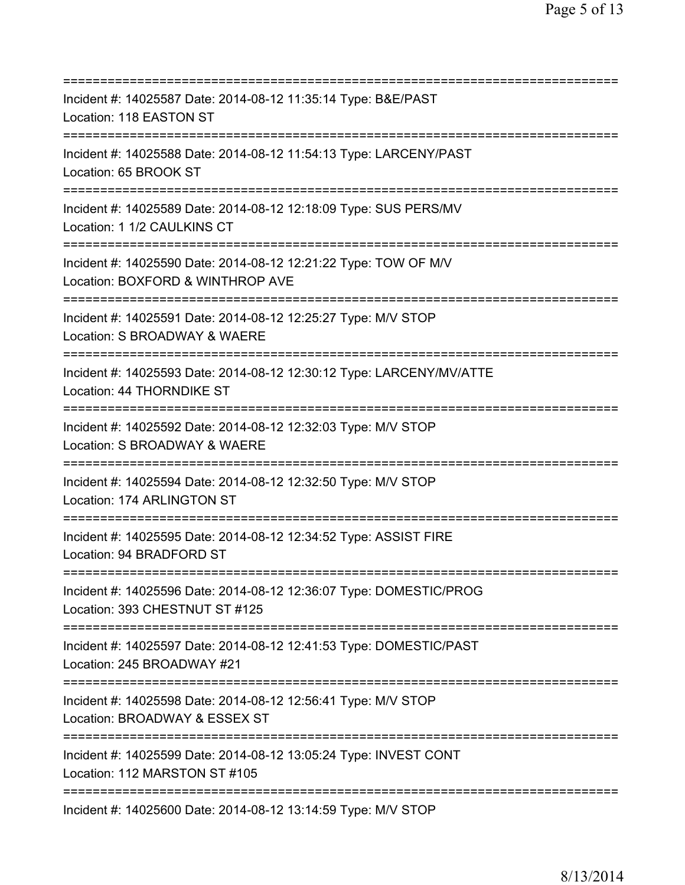| Incident #: 14025587 Date: 2014-08-12 11:35:14 Type: B&E/PAST<br>Location: 118 EASTON ST                                              |
|---------------------------------------------------------------------------------------------------------------------------------------|
| ======================================<br>Incident #: 14025588 Date: 2014-08-12 11:54:13 Type: LARCENY/PAST<br>Location: 65 BROOK ST  |
| Incident #: 14025589 Date: 2014-08-12 12:18:09 Type: SUS PERS/MV<br>Location: 1 1/2 CAULKINS CT<br>========================           |
| Incident #: 14025590 Date: 2014-08-12 12:21:22 Type: TOW OF M/V<br>Location: BOXFORD & WINTHROP AVE                                   |
| Incident #: 14025591 Date: 2014-08-12 12:25:27 Type: M/V STOP<br>Location: S BROADWAY & WAERE                                         |
| Incident #: 14025593 Date: 2014-08-12 12:30:12 Type: LARCENY/MV/ATTE<br>Location: 44 THORNDIKE ST<br>================================ |
| Incident #: 14025592 Date: 2014-08-12 12:32:03 Type: M/V STOP<br>Location: S BROADWAY & WAERE                                         |
| Incident #: 14025594 Date: 2014-08-12 12:32:50 Type: M/V STOP<br>Location: 174 ARLINGTON ST                                           |
| Incident #: 14025595 Date: 2014-08-12 12:34:52 Type: ASSIST FIRE<br>Location: 94 BRADFORD ST                                          |
| Incident #: 14025596 Date: 2014-08-12 12:36:07 Type: DOMESTIC/PROG<br>Location: 393 CHESTNUT ST #125                                  |
| Incident #: 14025597 Date: 2014-08-12 12:41:53 Type: DOMESTIC/PAST<br>Location: 245 BROADWAY #21                                      |
| Incident #: 14025598 Date: 2014-08-12 12:56:41 Type: M/V STOP<br>Location: BROADWAY & ESSEX ST<br>===============================     |
| Incident #: 14025599 Date: 2014-08-12 13:05:24 Type: INVEST CONT<br>Location: 112 MARSTON ST #105                                     |
| Incident #: 14025600 Date: 2014-08-12 13:14:59 Type: M/V STOP                                                                         |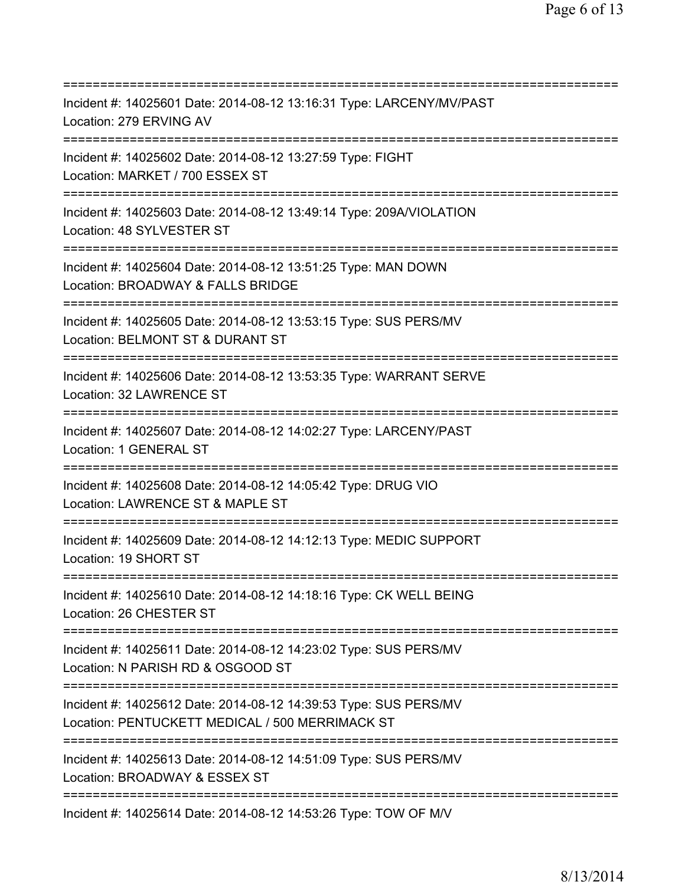=========================================================================== Incident #: 14025601 Date: 2014-08-12 13:16:31 Type: LARCENY/MV/PAST Location: 279 ERVING AV =========================================================================== Incident #: 14025602 Date: 2014-08-12 13:27:59 Type: FIGHT Location: MARKET / 700 ESSEX ST =========================================================================== Incident #: 14025603 Date: 2014-08-12 13:49:14 Type: 209A/VIOLATION Location: 48 SYLVESTER ST =========================================================================== Incident #: 14025604 Date: 2014-08-12 13:51:25 Type: MAN DOWN Location: BROADWAY & FALLS BRIDGE =========================================================================== Incident #: 14025605 Date: 2014-08-12 13:53:15 Type: SUS PERS/MV Location: BELMONT ST & DURANT ST =========================================================================== Incident #: 14025606 Date: 2014-08-12 13:53:35 Type: WARRANT SERVE Location: 32 LAWRENCE ST =========================================================================== Incident #: 14025607 Date: 2014-08-12 14:02:27 Type: LARCENY/PAST Location: 1 GENERAL ST =========================================================================== Incident #: 14025608 Date: 2014-08-12 14:05:42 Type: DRUG VIO Location: LAWRENCE ST & MAPLE ST =========================================================================== Incident #: 14025609 Date: 2014-08-12 14:12:13 Type: MEDIC SUPPORT Location: 19 SHORT ST =========================================================================== Incident #: 14025610 Date: 2014-08-12 14:18:16 Type: CK WELL BEING Location: 26 CHESTER ST =========================================================================== Incident #: 14025611 Date: 2014-08-12 14:23:02 Type: SUS PERS/MV Location: N PARISH RD & OSGOOD ST =========================================================================== Incident #: 14025612 Date: 2014-08-12 14:39:53 Type: SUS PERS/MV Location: PENTUCKETT MEDICAL / 500 MERRIMACK ST =========================================================================== Incident #: 14025613 Date: 2014-08-12 14:51:09 Type: SUS PERS/MV Location: BROADWAY & ESSEX ST =========================================================================== Incident #: 14025614 Date: 2014-08-12 14:53:26 Type: TOW OF M/V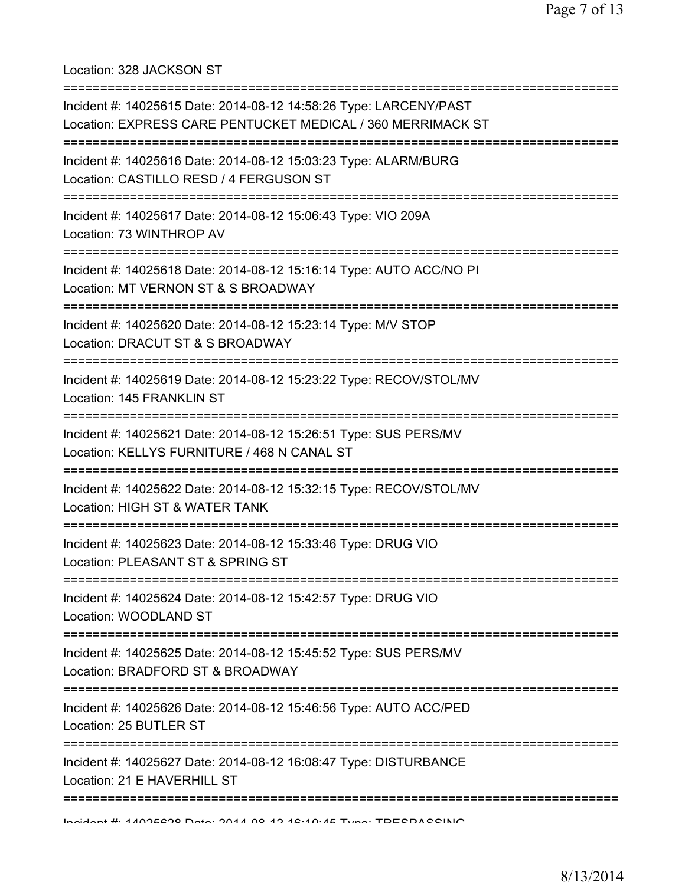Location: 328 JACKSON ST

| Incident #: 14025615 Date: 2014-08-12 14:58:26 Type: LARCENY/PAST<br>Location: EXPRESS CARE PENTUCKET MEDICAL / 360 MERRIMACK ST                                              |
|-------------------------------------------------------------------------------------------------------------------------------------------------------------------------------|
| Incident #: 14025616 Date: 2014-08-12 15:03:23 Type: ALARM/BURG<br>Location: CASTILLO RESD / 4 FERGUSON ST<br>:============================<br>:============================= |
| Incident #: 14025617 Date: 2014-08-12 15:06:43 Type: VIO 209A<br>Location: 73 WINTHROP AV                                                                                     |
| Incident #: 14025618 Date: 2014-08-12 15:16:14 Type: AUTO ACC/NO PI<br>Location: MT VERNON ST & S BROADWAY<br>--------------------------------                                |
| Incident #: 14025620 Date: 2014-08-12 15:23:14 Type: M/V STOP<br>Location: DRACUT ST & S BROADWAY                                                                             |
| Incident #: 14025619 Date: 2014-08-12 15:23:22 Type: RECOV/STOL/MV<br>Location: 145 FRANKLIN ST                                                                               |
| Incident #: 14025621 Date: 2014-08-12 15:26:51 Type: SUS PERS/MV<br>Location: KELLYS FURNITURE / 468 N CANAL ST                                                               |
| Incident #: 14025622 Date: 2014-08-12 15:32:15 Type: RECOV/STOL/MV<br>Location: HIGH ST & WATER TANK                                                                          |
| Incident #: 14025623 Date: 2014-08-12 15:33:46 Type: DRUG VIO<br>Location: PLEASANT ST & SPRING ST                                                                            |
| Incident #: 14025624 Date: 2014-08-12 15:42:57 Type: DRUG VIO<br>Location: WOODLAND ST                                                                                        |
| Incident #: 14025625 Date: 2014-08-12 15:45:52 Type: SUS PERS/MV<br>Location: BRADFORD ST & BROADWAY                                                                          |
| Incident #: 14025626 Date: 2014-08-12 15:46:56 Type: AUTO ACC/PED<br>Location: 25 BUTLER ST                                                                                   |
| Incident #: 14025627 Date: 2014-08-12 16:08:47 Type: DISTURBANCE<br>Location: 21 E HAVERHILL ST                                                                               |
| Incident # 4 100EC00 Data: 0011 00 10 12:10:1E Tune: TDECDACCINIO                                                                                                             |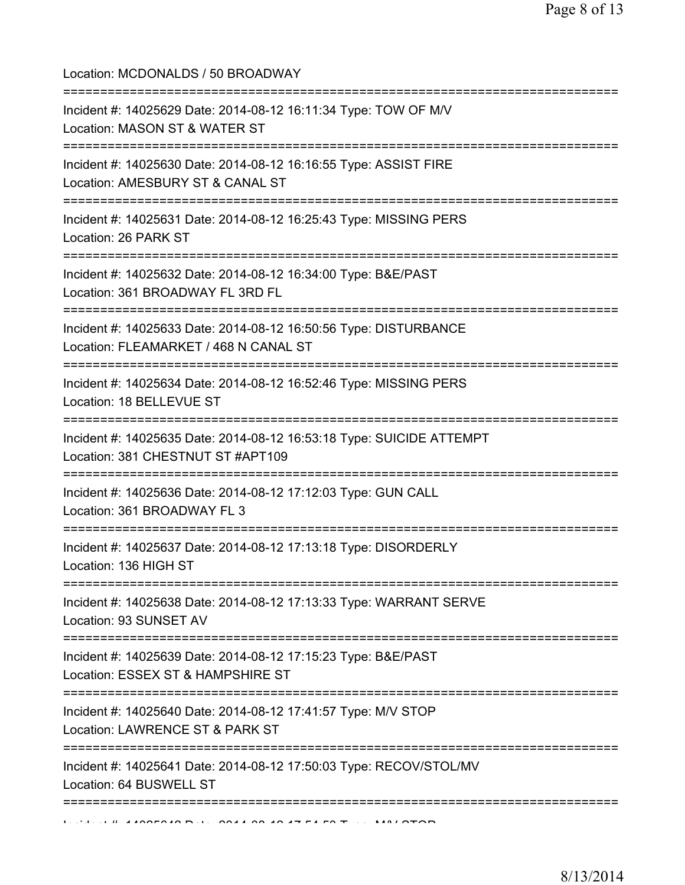| Location: MCDONALDS / 50 BROADWAY<br>====================================                                       |
|-----------------------------------------------------------------------------------------------------------------|
| Incident #: 14025629 Date: 2014-08-12 16:11:34 Type: TOW OF M/V<br>Location: MASON ST & WATER ST                |
| Incident #: 14025630 Date: 2014-08-12 16:16:55 Type: ASSIST FIRE<br>Location: AMESBURY ST & CANAL ST            |
| Incident #: 14025631 Date: 2014-08-12 16:25:43 Type: MISSING PERS<br>Location: 26 PARK ST                       |
| Incident #: 14025632 Date: 2014-08-12 16:34:00 Type: B&E/PAST<br>Location: 361 BROADWAY FL 3RD FL               |
| Incident #: 14025633 Date: 2014-08-12 16:50:56 Type: DISTURBANCE<br>Location: FLEAMARKET / 468 N CANAL ST       |
| Incident #: 14025634 Date: 2014-08-12 16:52:46 Type: MISSING PERS<br>Location: 18 BELLEVUE ST                   |
| Incident #: 14025635 Date: 2014-08-12 16:53:18 Type: SUICIDE ATTEMPT<br>Location: 381 CHESTNUT ST #APT109       |
| Incident #: 14025636 Date: 2014-08-12 17:12:03 Type: GUN CALL<br>Location: 361 BROADWAY FL 3                    |
| Incident #: 14025637 Date: 2014-08-12 17:13:18 Type: DISORDERLY<br>Location: 136 HIGH ST                        |
| Incident #: 14025638 Date: 2014-08-12 17:13:33 Type: WARRANT SERVE<br>Location: 93 SUNSET AV                    |
| Incident #: 14025639 Date: 2014-08-12 17:15:23 Type: B&E/PAST<br>Location: ESSEX ST & HAMPSHIRE ST              |
| ===========<br>Incident #: 14025640 Date: 2014-08-12 17:41:57 Type: M/V STOP<br>Location: LAWRENCE ST & PARK ST |
| Incident #: 14025641 Date: 2014-08-12 17:50:03 Type: RECOV/STOL/MV<br>Location: 64 BUSWELL ST                   |
|                                                                                                                 |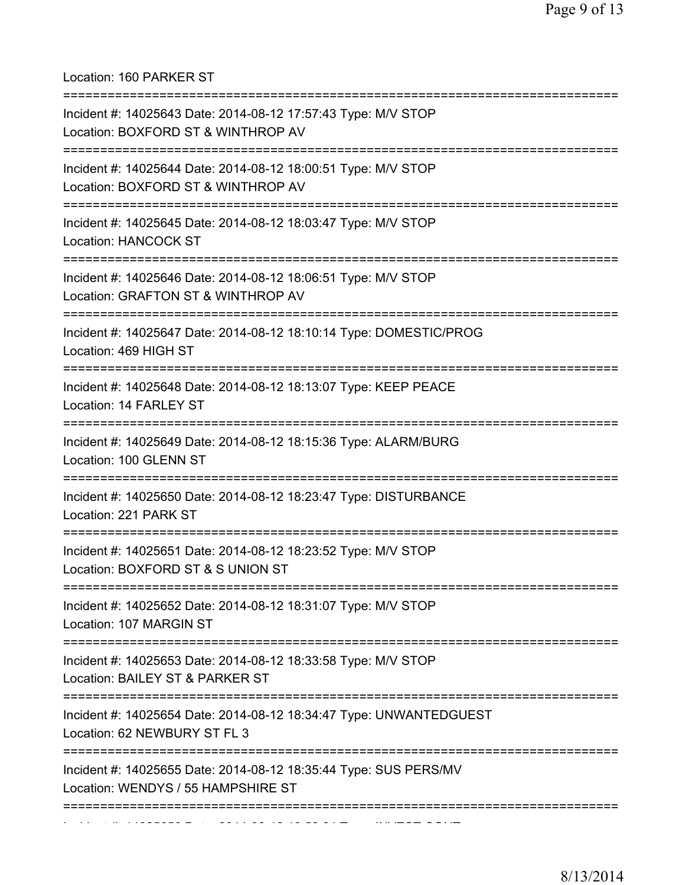Location: 160 PARKER ST

| Incident #: 14025643 Date: 2014-08-12 17:57:43 Type: M/V STOP<br>Location: BOXFORD ST & WINTHROP AV                                      |
|------------------------------------------------------------------------------------------------------------------------------------------|
| Incident #: 14025644 Date: 2014-08-12 18:00:51 Type: M/V STOP<br>Location: BOXFORD ST & WINTHROP AV<br>================================= |
| Incident #: 14025645 Date: 2014-08-12 18:03:47 Type: M/V STOP<br><b>Location: HANCOCK ST</b>                                             |
| Incident #: 14025646 Date: 2014-08-12 18:06:51 Type: M/V STOP<br>Location: GRAFTON ST & WINTHROP AV                                      |
| Incident #: 14025647 Date: 2014-08-12 18:10:14 Type: DOMESTIC/PROG<br>Location: 469 HIGH ST                                              |
| Incident #: 14025648 Date: 2014-08-12 18:13:07 Type: KEEP PEACE<br>Location: 14 FARLEY ST                                                |
| Incident #: 14025649 Date: 2014-08-12 18:15:36 Type: ALARM/BURG<br>Location: 100 GLENN ST                                                |
| Incident #: 14025650 Date: 2014-08-12 18:23:47 Type: DISTURBANCE<br>Location: 221 PARK ST                                                |
| Incident #: 14025651 Date: 2014-08-12 18:23:52 Type: M/V STOP<br>Location: BOXFORD ST & S UNION ST                                       |
| Incident #: 14025652 Date: 2014-08-12 18:31:07 Type: M/V STOP<br>Location: 107 MARGIN ST                                                 |
| Incident #: 14025653 Date: 2014-08-12 18:33:58 Type: M/V STOP<br>Location: BAILEY ST & PARKER ST                                         |
| Incident #: 14025654 Date: 2014-08-12 18:34:47 Type: UNWANTEDGUEST<br>Location: 62 NEWBURY ST FL 3                                       |
| Incident #: 14025655 Date: 2014-08-12 18:35:44 Type: SUS PERS/MV<br>Location: WENDYS / 55 HAMPSHIRE ST                                   |
|                                                                                                                                          |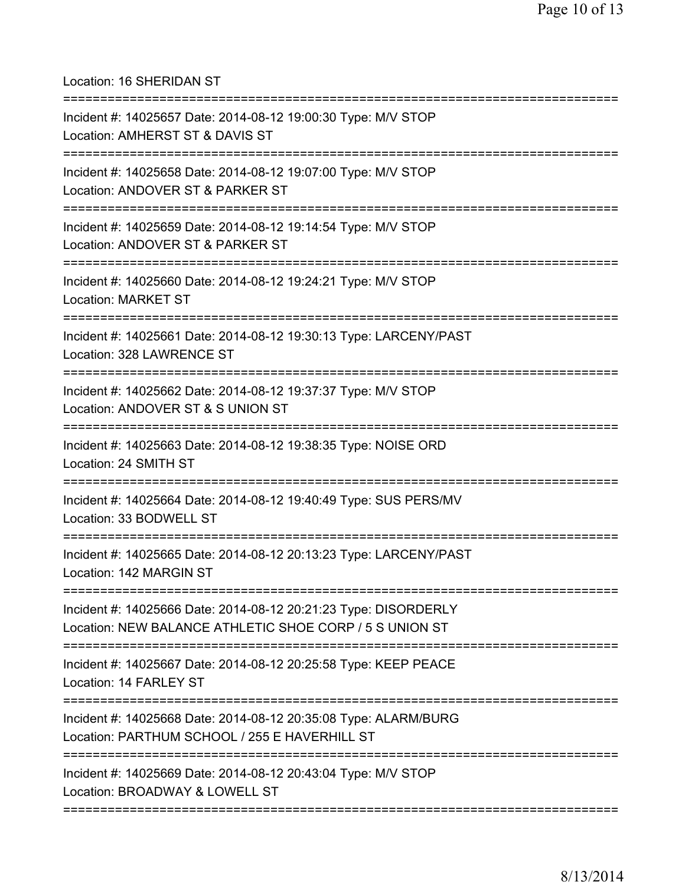Location: 16 SHERIDAN ST

| Incident #: 14025657 Date: 2014-08-12 19:00:30 Type: M/V STOP<br>Location: AMHERST ST & DAVIS ST                                 |
|----------------------------------------------------------------------------------------------------------------------------------|
| Incident #: 14025658 Date: 2014-08-12 19:07:00 Type: M/V STOP<br>Location: ANDOVER ST & PARKER ST                                |
| Incident #: 14025659 Date: 2014-08-12 19:14:54 Type: M/V STOP<br>Location: ANDOVER ST & PARKER ST                                |
| Incident #: 14025660 Date: 2014-08-12 19:24:21 Type: M/V STOP<br><b>Location: MARKET ST</b>                                      |
| Incident #: 14025661 Date: 2014-08-12 19:30:13 Type: LARCENY/PAST<br>Location: 328 LAWRENCE ST                                   |
| Incident #: 14025662 Date: 2014-08-12 19:37:37 Type: M/V STOP<br>Location: ANDOVER ST & S UNION ST                               |
| Incident #: 14025663 Date: 2014-08-12 19:38:35 Type: NOISE ORD<br>Location: 24 SMITH ST<br>==================                    |
| Incident #: 14025664 Date: 2014-08-12 19:40:49 Type: SUS PERS/MV<br>Location: 33 BODWELL ST                                      |
| Incident #: 14025665 Date: 2014-08-12 20:13:23 Type: LARCENY/PAST<br>Location: 142 MARGIN ST                                     |
| Incident #: 14025666 Date: 2014-08-12 20:21:23 Type: DISORDERLY<br>Location: NEW BALANCE ATHLETIC SHOE CORP / 5 S UNION ST       |
| Incident #: 14025667 Date: 2014-08-12 20:25:58 Type: KEEP PEACE<br>Location: 14 FARLEY ST<br>:================================== |
| Incident #: 14025668 Date: 2014-08-12 20:35:08 Type: ALARM/BURG<br>Location: PARTHUM SCHOOL / 255 E HAVERHILL ST                 |
| Incident #: 14025669 Date: 2014-08-12 20:43:04 Type: M/V STOP<br>Location: BROADWAY & LOWELL ST                                  |
| :=============                                                                                                                   |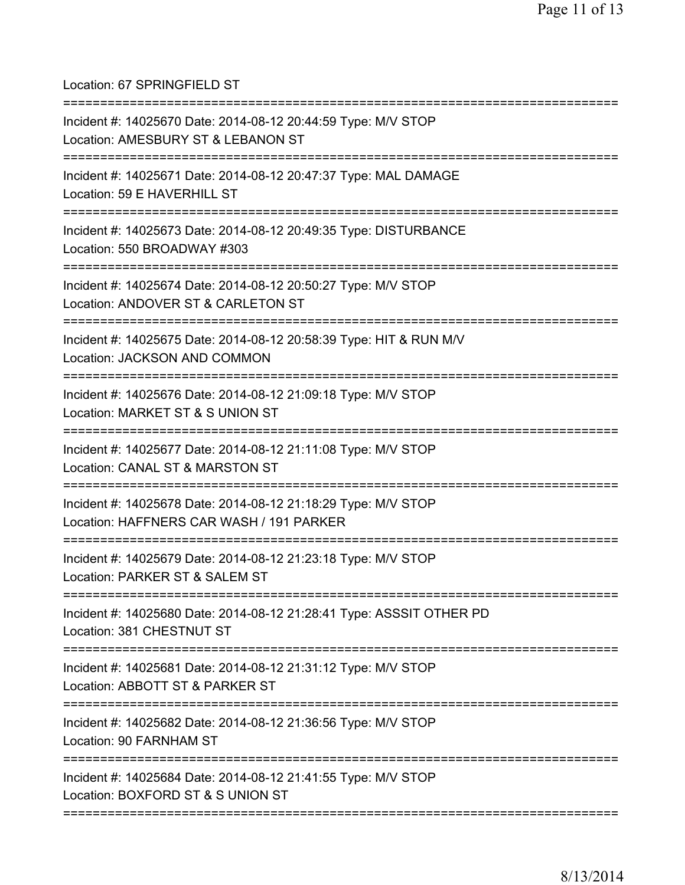Location: 67 SPRINGFIELD ST =========================================================================== Incident #: 14025670 Date: 2014-08-12 20:44:59 Type: M/V STOP Location: AMESBURY ST & LEBANON ST =========================================================================== Incident #: 14025671 Date: 2014-08-12 20:47:37 Type: MAL DAMAGE Location: 59 E HAVERHILL ST =========================================================================== Incident #: 14025673 Date: 2014-08-12 20:49:35 Type: DISTURBANCE Location: 550 BROADWAY #303 =========================================================================== Incident #: 14025674 Date: 2014-08-12 20:50:27 Type: M/V STOP Location: ANDOVER ST & CARLETON ST =========================================================================== Incident #: 14025675 Date: 2014-08-12 20:58:39 Type: HIT & RUN M/V Location: JACKSON AND COMMON =========================================================================== Incident #: 14025676 Date: 2014-08-12 21:09:18 Type: M/V STOP Location: MARKET ST & S UNION ST =========================================================================== Incident #: 14025677 Date: 2014-08-12 21:11:08 Type: M/V STOP Location: CANAL ST & MARSTON ST =========================================================================== Incident #: 14025678 Date: 2014-08-12 21:18:29 Type: M/V STOP Location: HAFFNERS CAR WASH / 191 PARKER =========================================================================== Incident #: 14025679 Date: 2014-08-12 21:23:18 Type: M/V STOP Location: PARKER ST & SALEM ST =========================================================================== Incident #: 14025680 Date: 2014-08-12 21:28:41 Type: ASSSIT OTHER PD Location: 381 CHESTNUT ST =========================================================================== Incident #: 14025681 Date: 2014-08-12 21:31:12 Type: M/V STOP Location: ABBOTT ST & PARKER ST =========================================================================== Incident #: 14025682 Date: 2014-08-12 21:36:56 Type: M/V STOP Location: 90 FARNHAM ST =========================================================================== Incident #: 14025684 Date: 2014-08-12 21:41:55 Type: M/V STOP Location: BOXFORD ST & S UNION ST ===========================================================================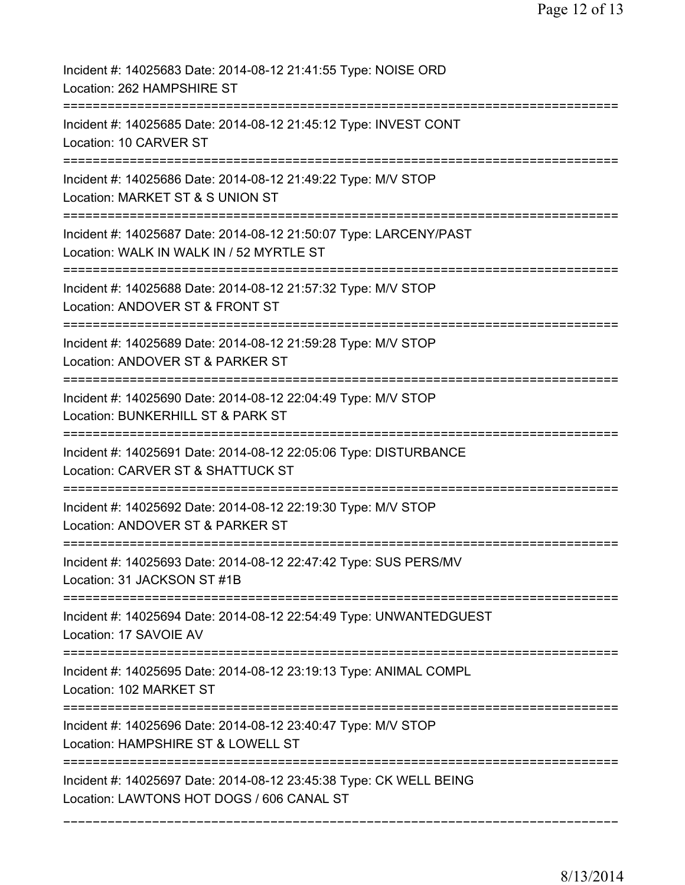| Incident #: 14025683 Date: 2014-08-12 21:41:55 Type: NOISE ORD<br>Location: 262 HAMPSHIRE ST                    |
|-----------------------------------------------------------------------------------------------------------------|
| Incident #: 14025685 Date: 2014-08-12 21:45:12 Type: INVEST CONT<br>Location: 10 CARVER ST                      |
| Incident #: 14025686 Date: 2014-08-12 21:49:22 Type: M/V STOP<br>Location: MARKET ST & S UNION ST               |
| Incident #: 14025687 Date: 2014-08-12 21:50:07 Type: LARCENY/PAST<br>Location: WALK IN WALK IN / 52 MYRTLE ST   |
| Incident #: 14025688 Date: 2014-08-12 21:57:32 Type: M/V STOP<br>Location: ANDOVER ST & FRONT ST                |
| Incident #: 14025689 Date: 2014-08-12 21:59:28 Type: M/V STOP<br>Location: ANDOVER ST & PARKER ST               |
| Incident #: 14025690 Date: 2014-08-12 22:04:49 Type: M/V STOP<br>Location: BUNKERHILL ST & PARK ST              |
| Incident #: 14025691 Date: 2014-08-12 22:05:06 Type: DISTURBANCE<br>Location: CARVER ST & SHATTUCK ST           |
| Incident #: 14025692 Date: 2014-08-12 22:19:30 Type: M/V STOP<br>Location: ANDOVER ST & PARKER ST               |
| Incident #: 14025693 Date: 2014-08-12 22:47:42 Type: SUS PERS/MV<br>Location: 31 JACKSON ST #1B                 |
| Incident #: 14025694 Date: 2014-08-12 22:54:49 Type: UNWANTEDGUEST<br>Location: 17 SAVOIE AV                    |
| Incident #: 14025695 Date: 2014-08-12 23:19:13 Type: ANIMAL COMPL<br>Location: 102 MARKET ST                    |
| Incident #: 14025696 Date: 2014-08-12 23:40:47 Type: M/V STOP<br>Location: HAMPSHIRE ST & LOWELL ST             |
| Incident #: 14025697 Date: 2014-08-12 23:45:38 Type: CK WELL BEING<br>Location: LAWTONS HOT DOGS / 606 CANAL ST |

===========================================================================